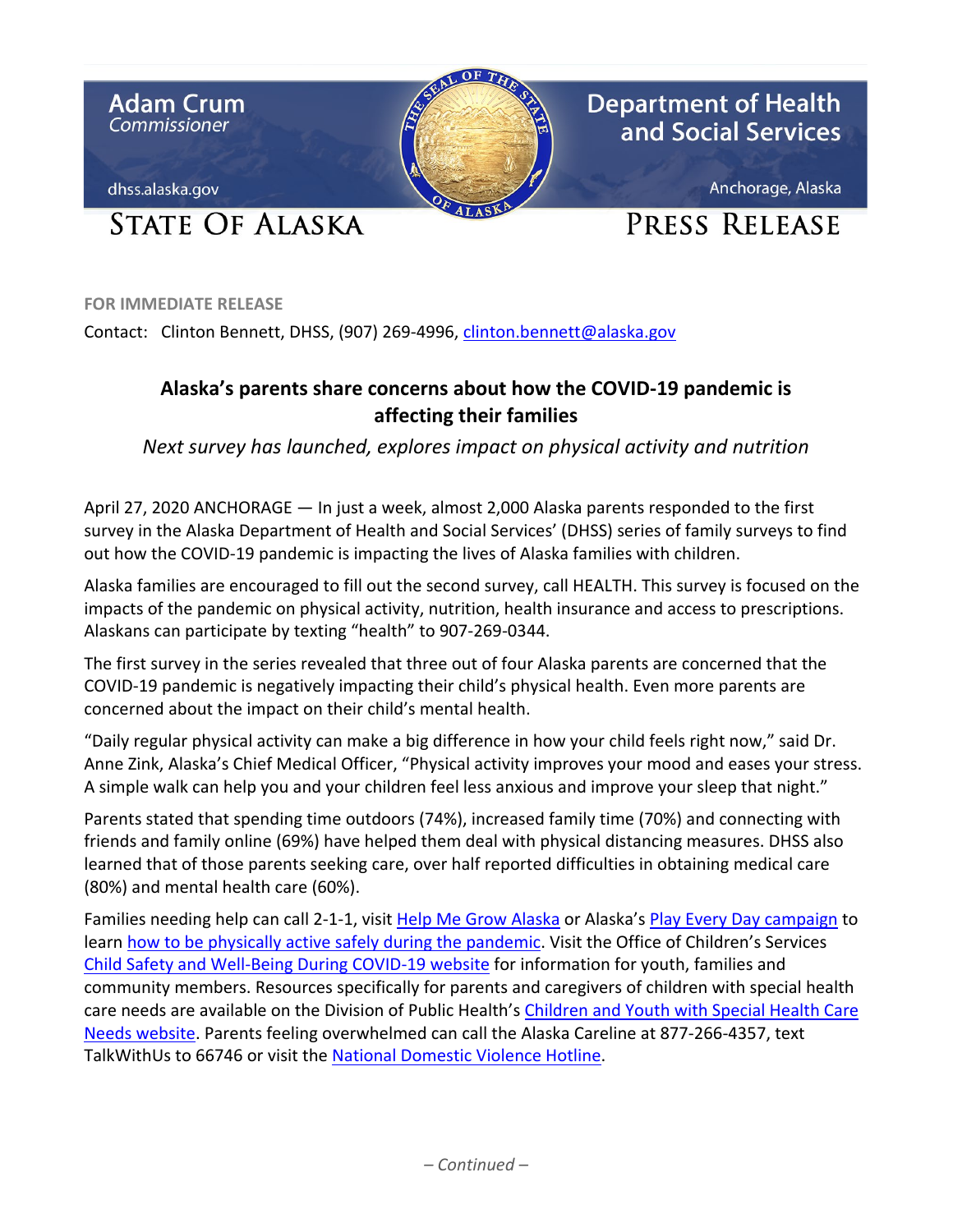

**FOR IMMEDIATE RELEASE**

Contact: Clinton Bennett, DHSS, (907) 269-4996, [clinton.bennett@alaska.gov](mailto:clinton.bennett@alaska.gov)

## **Alaska's parents share concerns about how the COVID-19 pandemic is affecting their families**

*Next survey has launched, explores impact on physical activity and nutrition*

April 27, 2020 ANCHORAGE — In just a week, almost 2,000 Alaska parents responded to the first survey in the Alaska Department of Health and Social Services' (DHSS) series of family surveys to find out how the COVID-19 pandemic is impacting the lives of Alaska families with children.

Alaska families are encouraged to fill out the second survey, call HEALTH. This survey is focused on the impacts of the pandemic on physical activity, nutrition, health insurance and access to prescriptions. Alaskans can participate by texting "health" to 907-269-0344.

The first survey in the series revealed that three out of four Alaska parents are concerned that the COVID-19 pandemic is negatively impacting their child's physical health. Even more parents are concerned about the impact on their child's mental health.

"Daily regular physical activity can make a big difference in how your child feels right now," said Dr. Anne Zink, Alaska's Chief Medical Officer, "Physical activity improves your mood and eases your stress. A simple walk can help you and your children feel less anxious and improve your sleep that night."

Parents stated that spending time outdoors (74%), increased family time (70%) and connecting with friends and family online (69%) have helped them deal with physical distancing measures. DHSS also learned that of those parents seeking care, over half reported difficulties in obtaining medical care (80%) and mental health care (60%).

Families needing help can call 2-1-1, visit [Help Me Grow Alaska](https://helpmegrowak.org/resources-activities-for-children-families-in-response-to-covid-19/) or Alaska's [Play Every Day campaign](http://dhss.alaska.gov/dph/PlayEveryDay/Pages/default.aspx) to lear[n how to be physically active safely during the pandemic.](http://dhss.alaska.gov/dph/PlayEveryDay/blog/Lists/Posts/Post.aspx?ID=463) Visit the Office of Children's Services [Child Safety and Well-Being During COVID-19 website](http://dhss.alaska.gov/ocs/Pages/COVID/default.aspx) for information for youth, families and community members. Resources specifically for parents and caregivers of children with special health care needs are available on the Division of Public Health's [Children and Youth with Special Health](http://dhss.alaska.gov/dph/wcfh/Pages/special-needs/default.aspx) Care [Needs website.](http://dhss.alaska.gov/dph/wcfh/Pages/special-needs/default.aspx) Parents feeling overwhelmed can call the Alaska Careline at 877-266-4357, text TalkWithUs to 66746 or visit the [National Domestic Violence Hotline.](https://www.thehotline.org/)